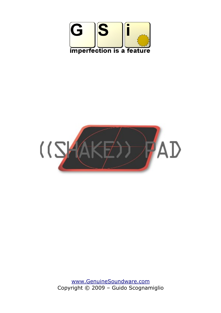



[www.GenuineSoundware.com](http://www.GenuineSoundware.com/) Copyright © 2009 – Guido Scognamiglio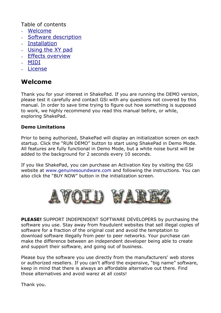Table of contents

- – [Welcome](#page-1-0)
- [Software description](#page-2-0)
- – [Installation](#page-3-0)
- – [Using the XY pad](#page-4-0)
- – [Effects overview](#page-5-0)
- – [MIDI](#page-6-0)
- – [License](#page-7-0)

## <span id="page-1-0"></span>**Welcome**

Thank you for your interest in ShakePad. If you are running the DEMO version, please test it carefully and contact GSi with any questions not covered by this manual. In order to save time trying to figure out how something is supposed to work, we highly recommend you read this manual before, or while, exploring ShakePad.

### **Demo Limitations**

Prior to being authorized, ShakePad will display an initialization screen on each startup. Click the "RUN DEMO" button to start using ShakePad in Demo Mode. All features are fully functional in Demo Mode, but a white noise burst will be added to the background for 2 seconds every 10 seconds.

If you like ShakePad, you can purchase an Activation Key by visiting the GSi website at www.genuinesoundware.com and following the instructions. You can also click the "BUY NOW" button in the initialization screen.



**PLEASE!** SUPPORT INDEPENDENT SOFTWARE DEVELOPERS by purchasing the software you use. Stay away from fraudulent websites that sell illegal copies of software for a fraction of the original cost and avoid the temptation to download software illegally from peer to peer networks. Your purchase can make the difference between an independent developer being able to create and support their software, and going out of business.

Please buy the software you use directly from the manufacturers' web stores or authorized resellers. If you can't afford the expensive, "big name" software, keep in mind that there is always an affordable alternative out there. Find those alternatives and avoid warez at all costs!

Thank you.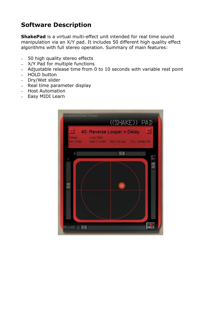# <span id="page-2-0"></span>**Software Description**

**ShakePad** is a virtual multi-effect unit intended for real time sound manipulation via an X/Y pad. It includes 50 different high quality effect algorithms with full stereo operation. Summary of main features:

- 50 high quality stereo effects
- X/Y Pad for multiple functions
- Adjustable release time from 0 to 10 seconds with variable rest point
- HOLD button
- Dry/Wet slider
- Real time parameter display
- Host Automation
- Easy MIDI Learn

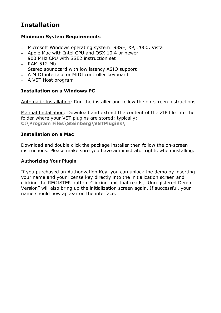# <span id="page-3-0"></span>**Installation**

#### **Minimum System Requirements**

- Microsoft Windows operating system: 98SE, XP, 2000, Vista
- Apple Mac with Intel CPU and OSX 10.4 or newer
- 900 MHz CPU with SSE2 instruction set
- $-$  RAM 512 Mb
- Stereo soundcard with low latency ASIO support
- A MIDI interface or MIDI controller keyboard
- A VST Host program

#### **Installation on a Windows PC**

Automatic Installation: Run the installer and follow the on-screen instructions.

Manual Installation: Download and extract the content of the ZIP file into the folder where your VST plugins are stored; typically: **C:\Program Files\Steinberg\VSTPlugins\**

#### **Installation on a Mac**

Download and double click the package installer then follow the on-screen instructions. Please make sure you have administrator rights when installing.

#### Authorizing Your Plugin

If you purchased an Authorization Key, you can unlock the demo by inserting your name and your license key directly into the initialization screen and clicking the REGISTER button. Clicking text that reads, "Unregistered Demo Version" will also bring up the initialization screen again. If successful, your name should now appear on the interface.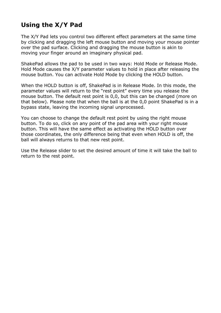# <span id="page-4-0"></span>**Using the X/Y Pad**

The X/Y Pad lets you control two different effect parameters at the same time by clicking and dragging the left mouse button and moving your mouse pointer over the pad surface. Clicking and dragging the mouse button is akin to moving your finger around an imaginary physical pad.

ShakePad allows the pad to be used in two ways: Hold Mode or Release Mode. Hold Mode causes the X/Y parameter values to hold in place after releasing the mouse button. You can activate Hold Mode by clicking the HOLD button.

When the HOLD button is off, ShakePad is in Release Mode. In this mode, the parameter values will return to the "rest point" every time you release the mouse button. The default rest point is 0,0, but this can be changed (more on that below). Please note that when the ball is at the 0,0 point ShakePad is in a bypass state, leaving the incoming signal unprocessed.

You can choose to change the default rest point by using the right mouse button. To do so, click on any point of the pad area with your right mouse button. This will have the same effect as activating the HOLD button over those coordinates, the only difference being that even when HOLD is off, the ball will always returns to that new rest point.

Use the Release slider to set the desired amount of time it will take the ball to return to the rest point.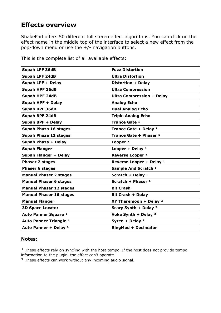## <span id="page-5-0"></span>**Effects overview**

ShakePad offers 50 different full stereo effect algorithms. You can click on the effect name in the middle top of the interface to select a new effect from the pop-down menu or use the  $+/-$  navigation buttons.

| <b>Supah LPF 36dB</b>          | <b>Fuzz Distortion</b>            |
|--------------------------------|-----------------------------------|
| <b>Supah LPF 24dB</b>          | <b>Ultra Distortion</b>           |
| Supah LPF + Delay              | Distortion + Delay                |
| <b>Supah HPF 36dB</b>          | <b>Ultra Compression</b>          |
| Supah HPF 24dB                 | <b>Ultra Compression + Delay</b>  |
| Supah HPF + Delay              | <b>Analog Echo</b>                |
| <b>Supah BPF 36dB</b>          | <b>Dual Analog Echo</b>           |
| <b>Supah BPF 24dB</b>          | <b>Triple Analog Echo</b>         |
| Supah BPF + Delay              | Trance Gate 1                     |
| <b>Supah Phaza 16 stages</b>   | Trance Gate + Delay 1             |
| Supah Phaza 12 stages          | Trance Gate + Phaser 1            |
| Supah Phaza + Delay            | Looper <sup>1</sup>               |
| <b>Supah Flanger</b>           | Looper + Delay $1$                |
| <b>Supah Flanger + Delay</b>   | Reverse Looper <sup>1</sup>       |
| <b>Phaser 2 stages</b>         | Reverse Looper + Delay 1          |
| <b>Phaser 6 stages</b>         | Sample And Scratch <sup>1</sup>   |
| <b>Manual Phaser 2 stages</b>  | Scratch + Delay <sup>1</sup>      |
| <b>Manual Phaser 6 stages</b>  | Scratch + Phaser 1                |
| <b>Manual Phaser 12 stages</b> | <b>Bit Crash</b>                  |
| <b>Manual Phaser 16 stages</b> | <b>Bit Crash + Delay</b>          |
| <b>Manual Flanger</b>          | XY Theremoon + Delay <sup>2</sup> |
| <b>3D Space Locator</b>        | Scary Synth + Delay <sup>2</sup>  |
| Auto Panner Square 1           | Voka Synth + Delay <sup>2</sup>   |
| <b>Auto Panner Triangle 1</b>  | Syren + Delay $2$                 |
| Auto Panner + Delay 1          | <b>RingMod + Decimator</b>        |

This is the complete list of all available effects:

#### **Notes**:

 $1$  These effects rely on sync'ing with the host tempo. If the host does not provide tempo information to the plugin, the effect can't operate.

² These effects can work without any incoming audio signal.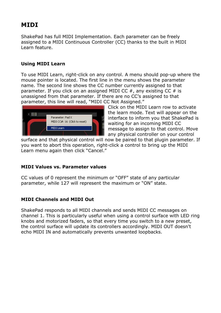## <span id="page-6-0"></span>**MIDI**

ShakePad has full MIDI Implementation. Each parameter can be freely assigned to a MIDI Continuous Controller (CC) thanks to the built in MIDI Learn feature.

### **Using MIDI Learn**

To use MIDI Learn, right-click on any control. A menu should pop-up where the mouse pointer is located. The first line in the menu shows the parameter name. The second line shows the CC number currently assigned to that parameter. If you click on an assigned MIDI CC  $#$ , any existing CC  $#$  is unassigned from that parameter. If there are no CC's assigned to that parameter, this line will read, "MIDI CC Not Assigned."



Click on the MIDI Learn row to activate the learn mode. Text will appear on the interface to inform you that ShakePad is waiting for an incoming MIDI CC message to assign to that control. Move any physical controller on your control

surface and that physical control will now be paired to that plugin parameter. If you want to abort this operation, right-click a control to bring up the MIDI Learn menu again then click "Cancel."

### **MIDI Values vs. Parameter values**

CC values of 0 represent the minimum or "OFF" state of any particular parameter, while 127 will represent the maximum or "ON" state.

### **MIDI Channels and MIDI Out**

ShakePad responds to all MIDI channels and sends MIDI CC messages on channel 1. This is particularly useful when using a control surface with LED ring knobs and motorized faders, so that every time you switch to a new preset, the control surface will update its controllers accordingly. MIDI OUT doesn't echo MIDI IN and automatically prevents unwanted loopbacks.